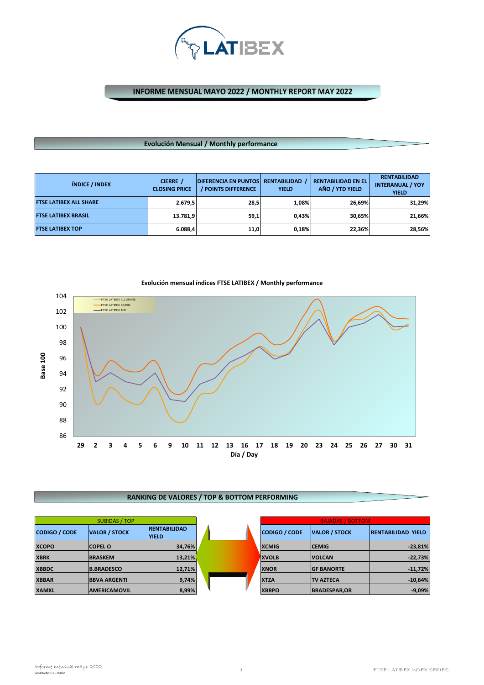

INFORME MENSUAL MAYO 2022 / MONTHLY REPORT MAY 2022

#### **Evolución Mensual / Monthly performance**

| <b>ÍNDICE / INDEX</b>         | CIERRE /<br><b>CLOSING PRICE</b> | <b>DIFERENCIA EN PUNTOS</b><br><b>/ POINTS DIFFERENCE</b> | <b>RENTABILIDAD</b><br><b>YIELD</b> | <b>RENTABILIDAD EN EL</b><br>AÑO / YTD YIELD | <b>RENTABILIDAD</b><br><b>INTERANUAL / YOY</b><br><b>YIELD</b> |
|-------------------------------|----------------------------------|-----------------------------------------------------------|-------------------------------------|----------------------------------------------|----------------------------------------------------------------|
| <b>FTSE LATIBEX ALL SHARE</b> | 2.679.5                          | 28,5                                                      | 1.08%                               | 26,69%                                       | 31,29%                                                         |
| <b>FTSE LATIBEX BRASIL</b>    | 13.781,9                         | 59,1                                                      | 0.43%                               | 30.65%                                       | 21,66%                                                         |
| <b>FTSE LATIBEX TOP</b>       | 6.088,4                          | 11,0                                                      | 0.18%                               | 22,36%                                       | 28,56%                                                         |



# **Evolución mensual índices FTSE LATIBEX / Monthly performance**

## **RANKING DE VALORES / TOP & BOTTOM PERFORMING**

| <b>SUBIDAS / TOP</b> |                      |                                     |  | <b>BAJADAS / BOTTOM</b> |                      |                           |
|----------------------|----------------------|-------------------------------------|--|-------------------------|----------------------|---------------------------|
| <b>CODIGO / CODE</b> | <b>VALOR / STOCK</b> | <b>RENTABILIDAD</b><br><b>YIELD</b> |  | <b>CODIGO / CODE</b>    | <b>VALOR / STOCK</b> | <b>RENTABILIDAD YIELD</b> |
| <b>XCOPO</b>         | <b>COPEL O</b>       | 34,76%                              |  | <b>XCMIG</b>            | <b>CEMIG</b>         | $-23,81%$                 |
| <b>XBRK</b>          | <b>BRASKEM</b>       | 13,21%                              |  | <b>XVOLB</b>            | <b>VOLCAN</b>        | $-22,73%$                 |
| <b>XBBDC</b>         | <b>B.BRADESCO</b>    | 12,71%                              |  | <b>XNOR</b>             | <b>GF BANORTE</b>    | $-11,72%$                 |
| <b>XBBAR</b>         | <b>BBVA ARGENTI</b>  | 9,74%                               |  | <b>XTZA</b>             | <b>TV AZTECA</b>     | $-10,64%$                 |
| <b>XAMXL</b>         | <b>AMERICAMOVIL</b>  | 8,99%                               |  | <b>XBRPO</b>            | <b>BRADESPAR, OR</b> | $-9,09%$                  |